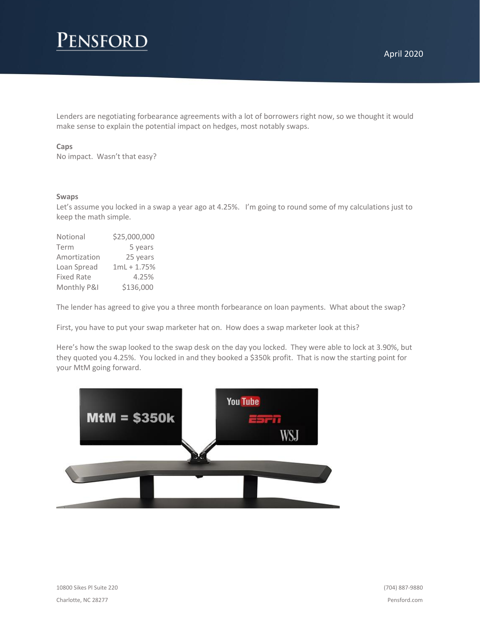# Pensford

Lenders are negotiating forbearance agreements with a lot of borrowers right now, so we thought it would make sense to explain the potential impact on hedges, most notably swaps.

### **Caps**

No impact. Wasn't that easy?

#### **Swaps**

Let's assume you locked in a swap a year ago at 4.25%. I'm going to round some of my calculations just to keep the math simple.

| Notional          | \$25,000,000  |
|-------------------|---------------|
| Term              | 5 years       |
| Amortization      | 25 years      |
| Loan Spread       | $1mL + 1.75%$ |
| <b>Fixed Rate</b> | 4.25%         |
| Monthly P&I       | \$136,000     |

The lender has agreed to give you a three month forbearance on loan payments. What about the swap?

First, you have to put your swap marketer hat on. How does a swap marketer look at this?

Here's how the swap looked to the swap desk on the day you locked. They were able to lock at 3.90%, but they quoted you 4.25%. You locked in and they booked a \$350k profit. That is now the starting point for your MtM going forward.

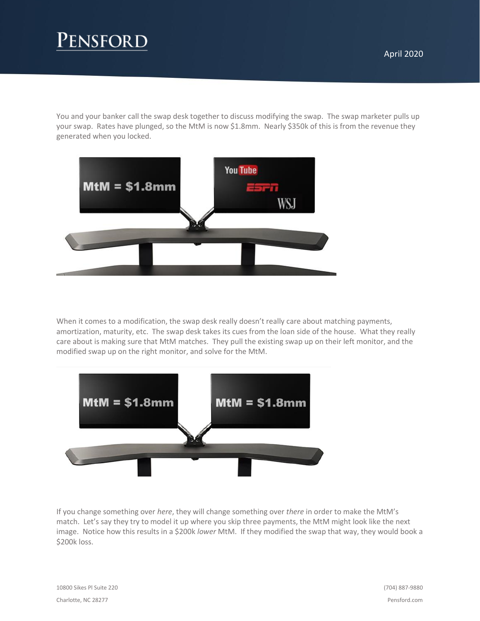# Pensford

You and your banker call the swap desk together to discuss modifying the swap. The swap marketer pulls up your swap. Rates have plunged, so the MtM is now \$1.8mm. Nearly \$350k of this is from the revenue they generated when you locked.



When it comes to a modification, the swap desk really doesn't really care about matching payments, amortization, maturity, etc. The swap desk takes its cues from the loan side of the house. What they really care about is making sure that MtM matches. They pull the existing swap up on their left monitor, and the modified swap up on the right monitor, and solve for the MtM.



If you change something over *here*, they will change something over *there* in order to make the MtM's match. Let's say they try to model it up where you skip three payments, the MtM might look like the next image. Notice how this results in a \$200k *lower* MtM. If they modified the swap that way, they would book a \$200k loss.

10800 Sikes Pl Suite 220 Charlotte, NC 28277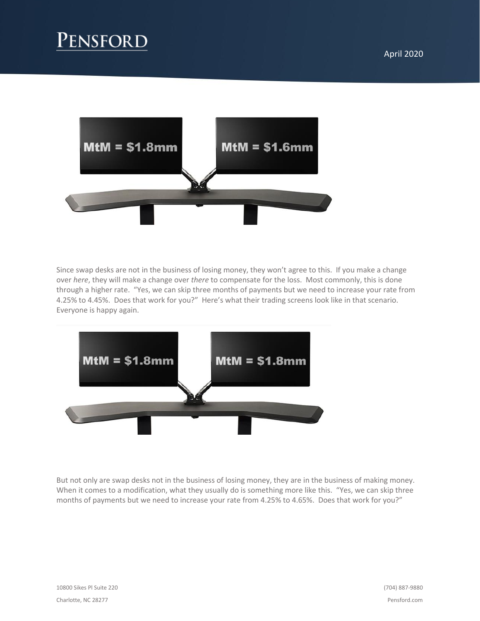

Since swap desks are not in the business of losing money, they won't agree to this. If you make a change over *here*, they will make a change over *there* to compensate for the loss. Most commonly, this is done through a higher rate. "Yes, we can skip three months of payments but we need to increase your rate from 4.25% to 4.45%. Does that work for you?" Here's what their trading screens look like in that scenario. Everyone is happy again.



But not only are swap desks not in the business of losing money, they are in the business of making money. When it comes to a modification, what they usually do is something more like this. "Yes, we can skip three months of payments but we need to increase your rate from 4.25% to 4.65%. Does that work for you?"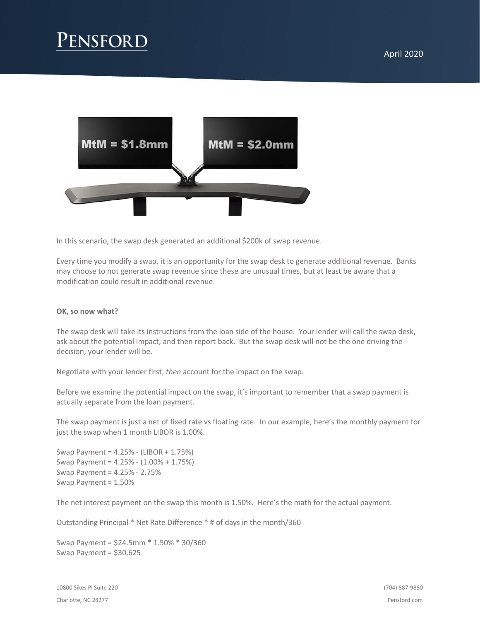# **ENSFORD**



In this scenario, the swap desk generated an additional \$200k of swap revenue.

Every time you modify a swap, it is an opportunity for the swap desk to generate additional revenue. Banks may choose to not generate swap revenue since these are unusual times, but at least be aware that a modification could result in additional revenue.

### **OK, so now what?**

The swap desk will take its instructions from the loan side of the house. Your lender will call the swap desk, ask about the potential impact, and then report back. But the swap desk will not be the one driving the decision, your lender will be.

Negotiate with your lender first, *then* account for the impact on the swap.

Before we examine the potential impact on the swap, it's important to remember that a swap payment is actually separate from the loan payment.

The swap payment is just a net of fixed rate vs floating rate. In our example, here's the monthly payment for just the swap when 1 month LIBOR is 1.00%.

Swap Payment = 4.25% - (LIBOR + 1.75%) Swap Payment = 4.25% - (1.00% + 1.75%) Swap Payment = 4.25% - 2.75% Swap Payment = 1.50%

The net interest payment on the swap this month is 1.50%. Here's the math for the actual payment.

Outstanding Principal \* Net Rate Difference \* # of days in the month/360

Swap Payment = \$24.5mm \* 1.50% \* 30/360 Swap Payment = \$30,625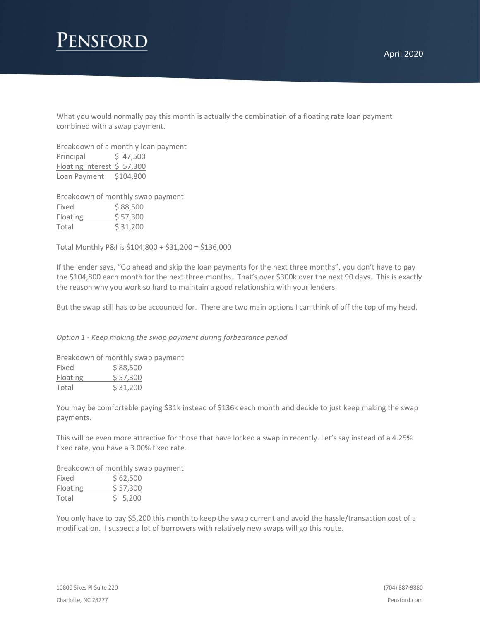## ENSFORD

What you would normally pay this month is actually the combination of a floating rate loan payment combined with a swap payment.

Breakdown of a monthly loan payment Principal  $\frac{1}{2}$  47,500 Floating Interest \$ 57,300 Loan Payment \$104,800

Breakdown of monthly swap payment Fixed \$88,500 Floating \$ 57,300 Total \$ 31,200

Total Monthly P&I is \$104,800 + \$31,200 = \$136,000

If the lender says, "Go ahead and skip the loan payments for the next three months", you don't have to pay the \$104,800 each month for the next three months. That's over \$300k over the next 90 days. This is exactly the reason why you work so hard to maintain a good relationship with your lenders.

But the swap still has to be accounted for. There are two main options I can think of off the top of my head.

*Option 1 - Keep making the swap payment during forbearance period*

Breakdown of monthly swap payment Fixed  $$88,500$ Floating \$ 57,300 Total \$ 31,200

You may be comfortable paying \$31k instead of \$136k each month and decide to just keep making the swap payments.

This will be even more attractive for those that have locked a swap in recently. Let's say instead of a 4.25% fixed rate, you have a 3.00% fixed rate.

Breakdown of monthly swap payment Fixed  $$62,500$ Floating \$ 57,300 Total \$ 5,200

You only have to pay \$5,200 this month to keep the swap current and avoid the hassle/transaction cost of a modification. I suspect a lot of borrowers with relatively new swaps will go this route.